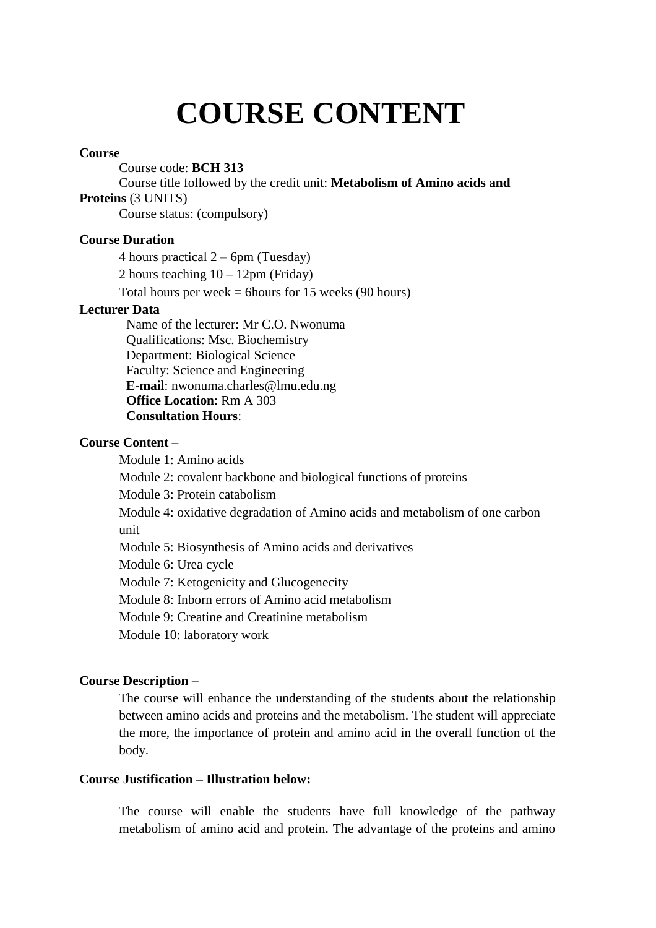# **COURSE CONTENT**

#### **Course**

Course code: **BCH 313**

Course title followed by the credit unit: **Metabolism of Amino acids and Proteins** (3 UNITS)

Course status: (compulsory)

#### **Course Duration**

4 hours practical 2 – 6pm (Tuesday)

2 hours teaching  $10 - 12$ pm (Friday)

Total hours per week  $=$  6 hours for 15 weeks (90 hours)

#### **Lecturer Data**

Name of the lecturer: Mr C.O. Nwonuma Qualifications: Msc. Biochemistry Department: Biological Science Faculty: Science and Engineering **E-mail**: nwonuma.charles@lmu.edu.ng **Office Location**: Rm A 303 **Consultation Hours**:

#### **Course Content –**

Module 1: Amino acids Module 2: covalent backbone and biological functions of proteins Module 3: Protein catabolism Module 4: oxidative degradation of Amino acids and metabolism of one carbon unit Module 5: Biosynthesis of Amino acids and derivatives Module 6: Urea cycle Module 7: Ketogenicity and Glucogenecity Module 8: Inborn errors of Amino acid metabolism Module 9: Creatine and Creatinine metabolism Module 10: laboratory work

#### **Course Description –**

The course will enhance the understanding of the students about the relationship between amino acids and proteins and the metabolism. The student will appreciate the more, the importance of protein and amino acid in the overall function of the body.

#### **Course Justification – Illustration below:**

The course will enable the students have full knowledge of the pathway metabolism of amino acid and protein. The advantage of the proteins and amino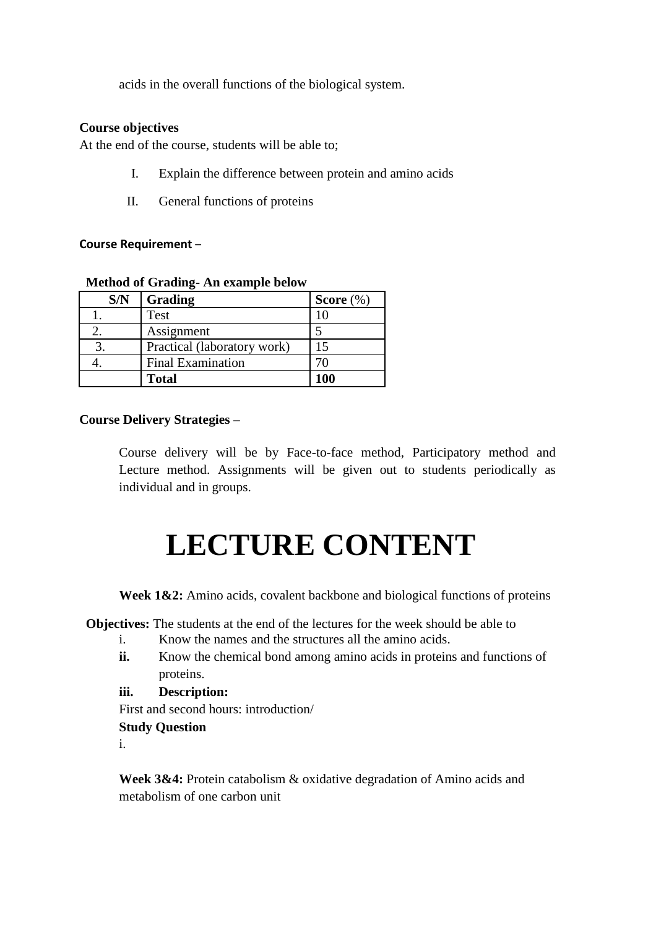acids in the overall functions of the biological system.

#### **Course objectives**

At the end of the course, students will be able to;

- I. Explain the difference between protein and amino acids
- II. General functions of proteins

#### **Course Requirement** –

#### **Method of Grading- An example below**

| S/N | Grading                     | Score $(\%)$ |
|-----|-----------------------------|--------------|
|     | Test                        |              |
|     | Assignment                  |              |
|     | Practical (laboratory work) |              |
|     | <b>Final Examination</b>    |              |
|     | <b>Total</b>                | 100          |

## **Course Delivery Strategies –**

Course delivery will be by Face-to-face method, Participatory method and Lecture method. Assignments will be given out to students periodically as individual and in groups.

# **LECTURE CONTENT**

Week 1&2: Amino acids, covalent backbone and biological functions of proteins

**Objectives:** The students at the end of the lectures for the week should be able to

- i. Know the names and the structures all the amino acids.
- **ii.** Know the chemical bond among amino acids in proteins and functions of proteins.
- **iii. Description:**

First and second hours: introduction/

#### **Study Question**

i.

**Week 3&4:** Protein catabolism & oxidative degradation of Amino acids and metabolism of one carbon unit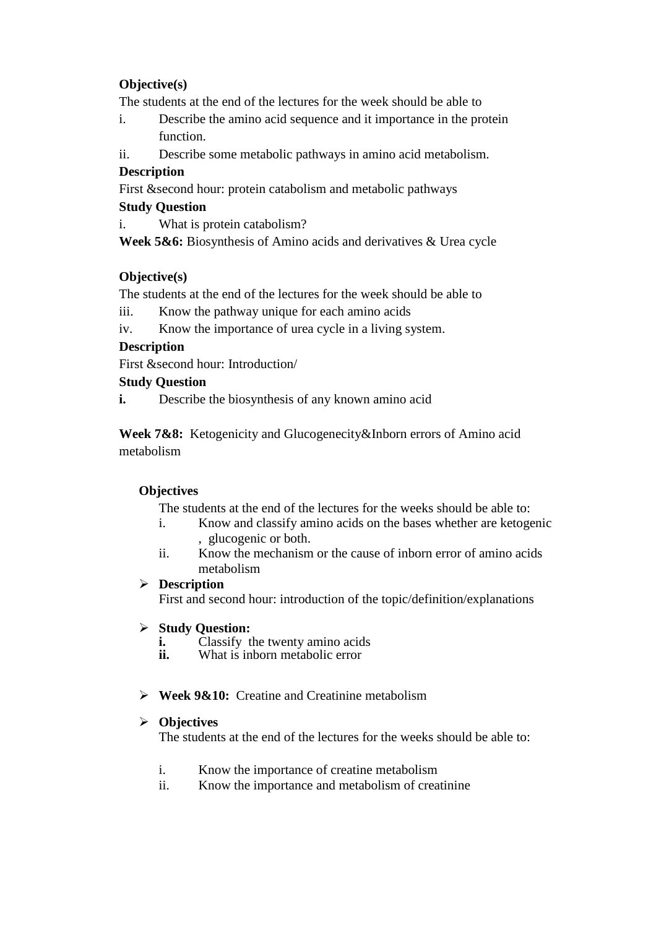# **Objective(s)**

The students at the end of the lectures for the week should be able to

- i. Describe the amino acid sequence and it importance in the protein function.
- ii. Describe some metabolic pathways in amino acid metabolism.

## **Description**

First &second hour: protein catabolism and metabolic pathways

## **Study Question**

i. What is protein catabolism?

**Week 5&6:** Biosynthesis of Amino acids and derivatives & Urea cycle

## **Objective(s)**

The students at the end of the lectures for the week should be able to

- iii. Know the pathway unique for each amino acids
- iv. Know the importance of urea cycle in a living system.

# **Description**

First &second hour: Introduction/

# **Study Question**

**i.** Describe the biosynthesis of any known amino acid

**Week 7&8:** Ketogenicity and Glucogenecity&Inborn errors of Amino acid metabolism

## **Objectives**

The students at the end of the lectures for the weeks should be able to:

- i. Know and classify amino acids on the bases whether are ketogenic , glucogenic or both.
- ii. Know the mechanism or the cause of inborn error of amino acids metabolism

## **Description**

First and second hour: introduction of the topic/definition/explanations

## **Study Question:**

- **i.** Classify the twenty amino acids<br>**ii.** What is inborn metabolic error
- What is inborn metabolic error
- **Week 9&10:** Creatine and Creatinine metabolism

## **Objectives**

The students at the end of the lectures for the weeks should be able to:

- i. Know the importance of creatine metabolism
- ii. Know the importance and metabolism of creatinine